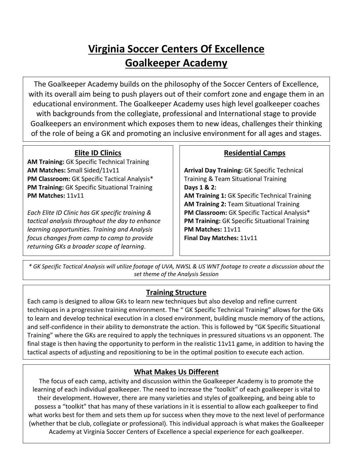# **Virginia Soccer Centers Of Excellence Goalkeeper Academy**

The Goalkeeper Academy builds on the philosophy of the Soccer Centers of Excellence, with its overall aim being to push players out of their comfort zone and engage them in an educational environment. The Goalkeeper Academy uses high level goalkeeper coaches with backgrounds from the collegiate, professional and International stage to provide Goalkeepers an environment which exposes them to new ideas, challenges their thinking of the role of being a GK and promoting an inclusive environment for all ages and stages.

### **Elite ID Clinics**

**AM Training:** GK Specific Technical Training **AM Matches:** Small Sided/11v11 **PM Classroom:** GK Specific Tactical Analysis\* **PM Training:** GK Specific Situational Training **PM Matches:** 11v11

*Each Elite ID Clinic has GK specific training & tactical analysis throughout the day to enhance learning opportunities. Training and Analysis focus changes from camp to camp to provide returning GKs a broader scope of learning*.

### **Residential Camps**

**Arrival Day Training:** GK Specific Technical Training & Team Situational Training **Days 1 & 2: AM Training 1:** GK Specific Technical Training **AM Training 2:** Team Situational Training **PM Classroom:** GK Specific Tactical Analysis\* **PM Training:** GK Specific Situational Training **PM Matches:** 11v11 **Final Day Matches:** 11v11

*\* GK Specific Tactical Analysis will utilize footage of UVA, NWSL & US WNT footage to create a discussion about the set theme of the Analysis Session*

# **Training Structure**

Each camp is designed to allow GKs to learn new techniques but also develop and refine current techniques in a progressive training environment. The " GK Specific Technical Training" allows for the GKs to learn and develop technical execution in a closed environment, building muscle memory of the actions, and self-confidence in their ability to demonstrate the action. This is followed by "GK Specific Situational Training" where the GKs are required to apply the techniques in pressured situations vs an opponent. The final stage is then having the opportunity to perform in the realistic 11v11 game, in addition to having the tactical aspects of adjusting and repositioning to be in the optimal position to execute each action.

# **What Makes Us Different**

The focus of each camp, activity and discussion within the Goalkeeper Academy is to promote the learning of each individual goalkeeper. The need to increase the "toolkit" of each goalkeeper is vital to their development. However, there are many varieties and styles of goalkeeping, and being able to possess a "toolkit" that has many of these variations in it is essential to allow each goalkeeper to find what works best for them and sets them up for success when they move to the next level of performance (whether that be club, collegiate or professional). This individual approach is what makes the Goalkeeper Academy at Virginia Soccer Centers of Excellence a special experience for each goalkeeper.